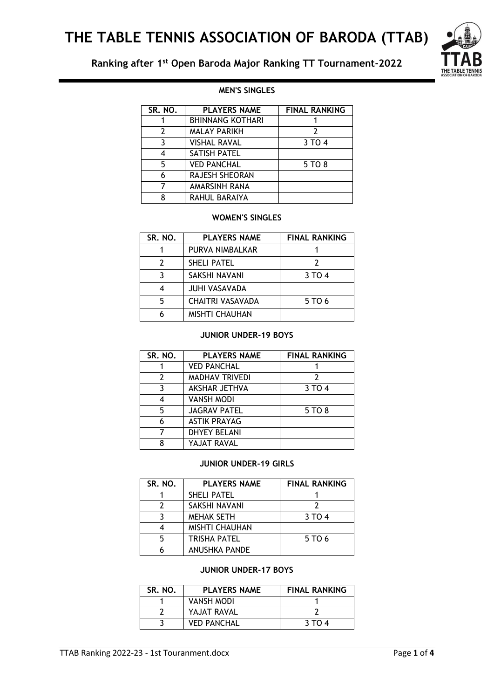# **Ranking after 1st Open Baroda Major Ranking TT Tournament-2022**



# **MEN'S SINGLES**

| SR. NO. | <b>PLAYERS NAME</b>     | <b>FINAL RANKING</b> |
|---------|-------------------------|----------------------|
|         | <b>BHINNANG KOTHARI</b> |                      |
| 2       | <b>MALAY PARIKH</b>     | 7                    |
| 3       | <b>VISHAL RAVAL</b>     | 3 TO 4               |
| 4       | <b>SATISH PATEL</b>     |                      |
| 5       | <b>VED PANCHAL</b>      | 5 TO 8               |
| 6       | RAJESH SHEORAN          |                      |
|         | AMARSINH RANA           |                      |
| 8       | RAHUL BARAIYA           |                      |

### **WOMEN'S SINGLES**

| SR. NO. | <b>PLAYERS NAME</b>     | <b>FINAL RANKING</b> |
|---------|-------------------------|----------------------|
|         | PURVA NIMBALKAR         |                      |
| 2       | <b>SHELI PATEL</b>      |                      |
|         | SAKSHI NAVANI           | 3 TO 4               |
|         | <b>JUHI VASAVADA</b>    |                      |
| 5       | <b>CHAITRI VASAVADA</b> | 5 TO 6               |
|         | <b>MISHTI CHAUHAN</b>   |                      |

#### **JUNIOR UNDER-19 BOYS**

| SR. NO. | <b>PLAYERS NAME</b>   | <b>FINAL RANKING</b> |
|---------|-----------------------|----------------------|
|         | <b>VED PANCHAL</b>    |                      |
| 2       | <b>MADHAV TRIVEDI</b> | 2                    |
| 3       | AKSHAR JETHVA         | 3 TO 4               |
| 4       | <b>VANSH MODI</b>     |                      |
| 5       | <b>JAGRAV PATEL</b>   | 5 TO 8               |
| 6       | <b>ASTIK PRAYAG</b>   |                      |
| 7       | <b>DHYEY BELANI</b>   |                      |
| 8       | YAJAT RAVAL           |                      |

#### **JUNIOR UNDER-19 GIRLS**

| SR. NO. | <b>PLAYERS NAME</b>   | <b>FINAL RANKING</b> |
|---------|-----------------------|----------------------|
|         | <b>SHELI PATEL</b>    |                      |
|         | SAKSHI NAVANI         |                      |
|         | <b>MEHAK SETH</b>     | 3 TO 4               |
|         | <b>MISHTI CHAUHAN</b> |                      |
| 5       | <b>TRISHA PATEL</b>   | 5 TO 6               |
|         | <b>ANUSHKA PANDE</b>  |                      |

#### **JUNIOR UNDER-17 BOYS**

| SR. NO. | <b>PLAYERS NAME</b> | <b>FINAL RANKING</b> |
|---------|---------------------|----------------------|
|         | <b>VANSH MODI</b>   |                      |
|         | YAJAT RAVAL         |                      |
|         | <b>VED PANCHAL</b>  | 3 TO 4               |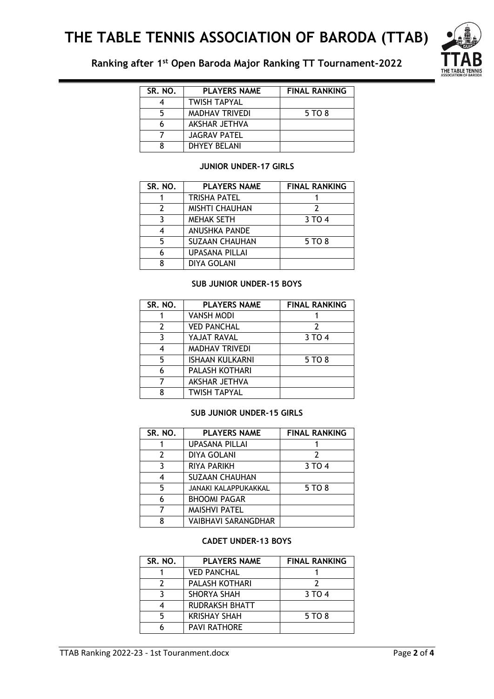# **THE TABLE TENNIS ASSOCIATION OF BARODA (TTAB)**



**Ranking after 1st Open Baroda Major Ranking TT Tournament-2022**

| SR. NO. | <b>PLAYERS NAME</b>   | <b>FINAL RANKING</b> |
|---------|-----------------------|----------------------|
|         | <b>TWISH TAPYAL</b>   |                      |
|         | <b>MADHAV TRIVEDI</b> | 5 TO 8               |
|         | AKSHAR JETHVA         |                      |
|         | <b>JAGRAV PATEL</b>   |                      |
|         | <b>DHYEY BELANI</b>   |                      |

#### **JUNIOR UNDER-17 GIRLS**

| SR. NO. | <b>PLAYERS NAME</b>   | <b>FINAL RANKING</b> |
|---------|-----------------------|----------------------|
|         | <b>TRISHA PATEL</b>   |                      |
|         | <b>MISHTI CHAUHAN</b> |                      |
|         | <b>MEHAK SETH</b>     | 3 TO 4               |
|         | <b>ANUSHKA PANDE</b>  |                      |
| 5       | <b>SUZAAN CHAUHAN</b> | 5 TO 8               |
|         | <b>UPASANA PILLAI</b> |                      |
| 8       | <b>DIYA GOLANI</b>    |                      |

#### **SUB JUNIOR UNDER-15 BOYS**

| SR. NO. | <b>PLAYERS NAME</b>    | <b>FINAL RANKING</b> |
|---------|------------------------|----------------------|
|         | <b>VANSH MODI</b>      |                      |
| 2       | <b>VED PANCHAL</b>     | 2                    |
| 3       | YAJAT RAVAL            | 3 TO 4               |
| 4       | <b>MADHAV TRIVEDI</b>  |                      |
| 5       | <b>ISHAAN KULKARNI</b> | 5 TO 8               |
| 6       | PALASH KOTHARI         |                      |
|         | <b>AKSHAR JETHVA</b>   |                      |
| 8       | <b>TWISH TAPYAL</b>    |                      |

### **SUB JUNIOR UNDER-15 GIRLS**

| SR. NO. | <b>PLAYERS NAME</b>        | <b>FINAL RANKING</b> |
|---------|----------------------------|----------------------|
|         | <b>UPASANA PILLAI</b>      |                      |
| 2       | <b>DIYA GOLANI</b>         | 2                    |
| 3       | <b>RIYA PARIKH</b>         | 3 TO 4               |
| 4       | <b>SUZAAN CHAUHAN</b>      |                      |
| 5       | JANAKI KALAPPUKAKKAL       | 5 TO 8               |
| 6       | <b>BHOOMI PAGAR</b>        |                      |
| 7       | <b>MAISHVI PATEL</b>       |                      |
| 8       | <b>VAIBHAVI SARANGDHAR</b> |                      |

#### **CADET UNDER-13 BOYS**

| SR. NO. | <b>PLAYERS NAME</b>   | <b>FINAL RANKING</b> |
|---------|-----------------------|----------------------|
|         | <b>VED PANCHAL</b>    |                      |
|         | PALASH KOTHARI        |                      |
|         | <b>SHORYA SHAH</b>    | 3 TO 4               |
|         | <b>RUDRAKSH BHATT</b> |                      |
|         | <b>KRISHAY SHAH</b>   | 5 TO 8               |
|         | <b>PAVI RATHORE</b>   |                      |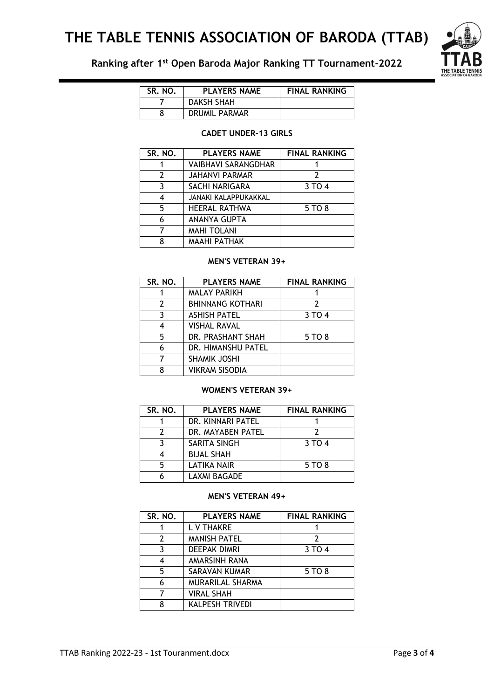# **THE TABLE TENNIS ASSOCIATION OF BARODA (TTAB)**



**Ranking after 1st Open Baroda Major Ranking TT Tournament-2022**

| SR. NO. | <b>PLAYERS NAME</b> | <b>FINAL RANKING</b> |
|---------|---------------------|----------------------|
|         | <b>DAKSH SHAH</b>   |                      |
|         | DRUMIL PARMAR       |                      |

#### **CADET UNDER-13 GIRLS**

| SR. NO.       | <b>PLAYERS NAME</b>        | <b>FINAL RANKING</b> |
|---------------|----------------------------|----------------------|
|               | <b>VAIBHAVI SARANGDHAR</b> |                      |
| $\mathcal{P}$ | <b>JAHANVI PARMAR</b>      | 7                    |
| 3             | SACHI NARIGARA             | 3 TO 4               |
| 4             | JANAKI KALAPPUKAKKAL       |                      |
| 5.            | <b>HEERAL RATHWA</b>       | 5 TO 8               |
| 6             | ANANYA GUPTA               |                      |
|               | <b>MAHI TOLANI</b>         |                      |
| 8             | <b>MAAHI PATHAK</b>        |                      |

## **MEN'S VETERAN 39+**

| SR. NO. | <b>PLAYERS NAME</b>     | <b>FINAL RANKING</b> |
|---------|-------------------------|----------------------|
|         | <b>MALAY PARIKH</b>     |                      |
| 2       | <b>BHINNANG KOTHARI</b> |                      |
| 3       | <b>ASHISH PATEL</b>     | 3 TO 4               |
| 4       | <b>VISHAL RAVAL</b>     |                      |
| 5       | DR. PRASHANT SHAH       | 5 TO 8               |
| 6       | DR. HIMANSHU PATEL      |                      |
|         | <b>SHAMIK JOSHI</b>     |                      |
| ጸ       | <b>VIKRAM SISODIA</b>   |                      |

#### **WOMEN'S VETERAN 39+**

| SR. NO. | <b>PLAYERS NAME</b> | <b>FINAL RANKING</b> |
|---------|---------------------|----------------------|
|         | DR. KINNARI PATEL   |                      |
|         | DR. MAYABEN PATEL   |                      |
|         | SARITA SINGH        | 3 TO 4               |
|         | <b>BIJAL SHAH</b>   |                      |
|         | LATIKA NAIR         | 5 TO 8               |
|         | <b>LAXMI BAGADE</b> |                      |

## **MEN'S VETERAN 49+**

| SR. NO. | <b>PLAYERS NAME</b>     | <b>FINAL RANKING</b> |
|---------|-------------------------|----------------------|
|         | L V THAKRE              |                      |
| 7       | <b>MANISH PATEL</b>     | 7                    |
| ٦       | <b>DEEPAK DIMRI</b>     | 3 TO 4               |
| 4       | AMARSINH RANA           |                      |
| 5       | SARAVAN KUMAR           | 5 TO 8               |
| 6       | <b>MURARILAL SHARMA</b> |                      |
|         | <b>VIRAL SHAH</b>       |                      |
| 8       | <b>KALPESH TRIVEDI</b>  |                      |